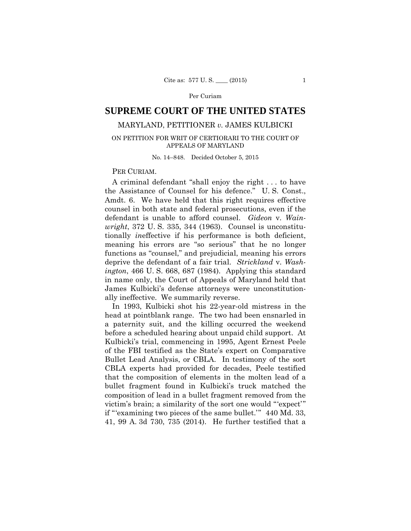# **SUPREME COURT OF THE UNITED STATES**

## MARYLAND, PETITIONER *v.* JAMES KULBICKI

## ON PETITION FOR WRIT OF CERTIORARI TO THE COURT OF APPEALS OF MARYLAND

No. 14–848. Decided October 5, 2015

## PER CURIAM.

 A criminal defendant "shall enjoy the right . . . to have the Assistance of Counsel for his defence." U. S. Const., Amdt. 6. We have held that this right requires effective counsel in both state and federal prosecutions, even if the defendant is unable to afford counsel. *Gideon* v. *Wainwright*, 372 U. S. 335, 344 (1963). Counsel is unconstitutionally *in*effective if his performance is both deficient, meaning his errors are "so serious" that he no longer functions as "counsel," and prejudicial, meaning his errors deprive the defendant of a fair trial. *Strickland* v. *Washington*, 466 U. S. 668, 687 (1984). Applying this standard in name only, the Court of Appeals of Maryland held that James Kulbicki's defense attorneys were unconstitutionally ineffective. We summarily reverse.

In 1993, Kulbicki shot his 22-year-old mistress in the head at pointblank range. The two had been ensnarled in a paternity suit, and the killing occurred the weekend before a scheduled hearing about unpaid child support. At Kulbicki's trial, commencing in 1995, Agent Ernest Peele of the FBI testified as the State's expert on Comparative Bullet Lead Analysis, or CBLA. In testimony of the sort CBLA experts had provided for decades, Peele testified that the composition of elements in the molten lead of a bullet fragment found in Kulbicki's truck matched the composition of lead in a bullet fragment removed from the victim's brain; a similarity of the sort one would "'expect'" if "'examining two pieces of the same bullet.'" 440 Md. 33, 41, 99 A. 3d 730, 735 (2014). He further testified that a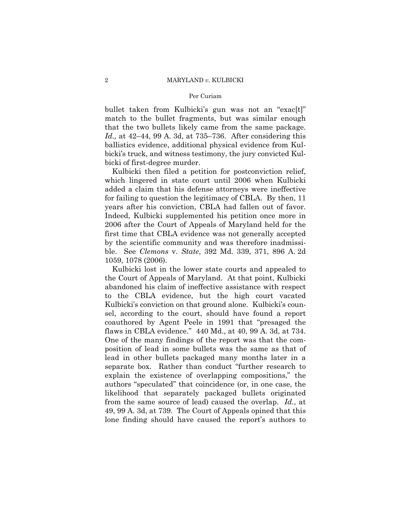bullet taken from Kulbicki's gun was not an "exac[t]" match to the bullet fragments, but was similar enough that the two bullets likely came from the same package. *Id.,* at 42–44, 99 A. 3d, at 735–736. After considering this ballistics evidence, additional physical evidence from Kulbicki's truck, and witness testimony, the jury convicted Kulbicki of first-degree murder.

Kulbicki then filed a petition for postconviction relief, which lingered in state court until 2006 when Kulbicki added a claim that his defense attorneys were ineffective for failing to question the legitimacy of CBLA. By then, 11 years after his conviction, CBLA had fallen out of favor. Indeed, Kulbicki supplemented his petition once more in 2006 after the Court of Appeals of Maryland held for the first time that CBLA evidence was not generally accepted by the scientific community and was therefore inadmissible. See *Clemons* v. *State*, 392 Md. 339, 371, 896 A. 2d 1059, 1078 (2006).

 49, 99 A. 3d, at 739. The Court of Appeals opined that this Kulbicki lost in the lower state courts and appealed to the Court of Appeals of Maryland. At that point, Kulbicki abandoned his claim of ineffective assistance with respect to the CBLA evidence, but the high court vacated Kulbicki's conviction on that ground alone. Kulbicki's counsel, according to the court, should have found a report coauthored by Agent Peele in 1991 that "presaged the flaws in CBLA evidence." 440 Md., at 40, 99 A. 3d, at 734. One of the many findings of the report was that the composition of lead in some bullets was the same as that of lead in other bullets packaged many months later in a separate box. Rather than conduct "further research to explain the existence of overlapping compositions," the authors "speculated" that coincidence (or, in one case, the likelihood that separately packaged bullets originated from the same source of lead) caused the overlap. *Id.*, at lone finding should have caused the report's authors to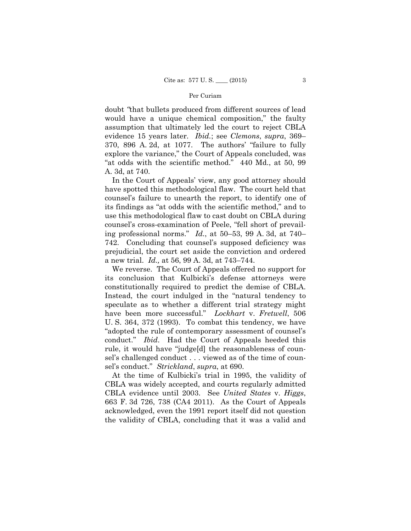evidence 15 years later. *Ibid.*; see *Clemons*, *supra*, 369– doubt *"*that bullets produced from different sources of lead would have a unique chemical composition," the faulty assumption that ultimately led the court to reject CBLA 370, 896 A. 2d, at 1077. The authors' "failure to fully explore the variance," the Court of Appeals concluded, was "at odds with the scientific method." 440 Md., at 50, 99 A. 3d, at 740.

In the Court of Appeals' view, any good attorney should have spotted this methodological flaw. The court held that counsel's failure to unearth the report, to identify one of its findings as "at odds with the scientific method," and to use this methodological flaw to cast doubt on CBLA during counsel's cross-examination of Peele, "fell short of prevailing professional norms." *Id.*, at 50–53, 99 A. 3d, at 740– 742. Concluding that counsel's supposed deficiency was prejudicial, the court set aside the conviction and ordered a new trial. *Id.,* at 56, 99 A. 3d, at 743–744.

 conduct." *Ibid*. Had the Court of Appeals heeded this We reverse. The Court of Appeals offered no support for its conclusion that Kulbicki's defense attorneys were constitutionally required to predict the demise of CBLA. Instead, the court indulged in the "natural tendency to speculate as to whether a different trial strategy might have been more successful." *Lockhart* v. *Fretwell*, 506 U. S. 364, 372 (1993). To combat this tendency, we have "adopted the rule of contemporary assessment of counsel's rule, it would have "judge[d] the reasonableness of counsel's challenged conduct . . . viewed as of the time of counsel's conduct." *Strickland*, *supra*, at 690.

At the time of Kulbicki's trial in 1995, the validity of CBLA was widely accepted, and courts regularly admitted CBLA evidence until 2003. See *United States* v. *Higgs*, 663 F. 3d 726, 738 (CA4 2011). As the Court of Appeals acknowledged, even the 1991 report itself did not question the validity of CBLA, concluding that it was a valid and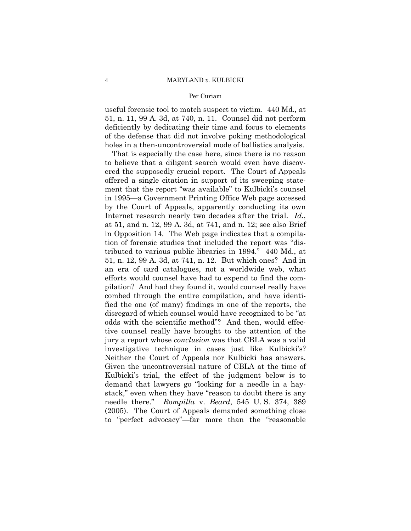useful forensic tool to match suspect to victim. 440 Md.*,* at 51, n. 11, 99 A. 3d, at 740, n. 11. Counsel did not perform deficiently by dedicating their time and focus to elements of the defense that did not involve poking methodological holes in a then-uncontroversial mode of ballistics analysis.

That is especially the case here, since there is no reason to believe that a diligent search would even have discovered the supposedly crucial report. The Court of Appeals offered a single citation in support of its sweeping statement that the report "was available" to Kulbicki's counsel in 1995—a Government Printing Office Web page accessed by the Court of Appeals, apparently conducting its own Internet research nearly two decades after the trial. *Id.*, at 51, and n. 12, 99 A. 3d, at 741, and n. 12; see also Brief in Opposition 14. The Web page indicates that a compilation of forensic studies that included the report was "distributed to various public libraries in 1994." 440 Md., at 51, n. 12, 99 A. 3d, at 741, n. 12. But which ones? And in an era of card catalogues, not a worldwide web, what efforts would counsel have had to expend to find the compilation? And had they found it, would counsel really have combed through the entire compilation, and have identified the one (of many) findings in one of the reports, the disregard of which counsel would have recognized to be "at odds with the scientific method"? And then, would effective counsel really have brought to the attention of the jury a report whose *conclusion* was that CBLA was a valid investigative technique in cases just like Kulbicki's? Neither the Court of Appeals nor Kulbicki has answers. Given the uncontroversial nature of CBLA at the time of Kulbicki's trial, the effect of the judgment below is to demand that lawyers go "looking for a needle in a haystack," even when they have "reason to doubt there is any needle there." *Rompilla* v. *Beard*, 545 U. S. 374, 389 (2005). The Court of Appeals demanded something close to "perfect advocacy"—far more than the "reasonable